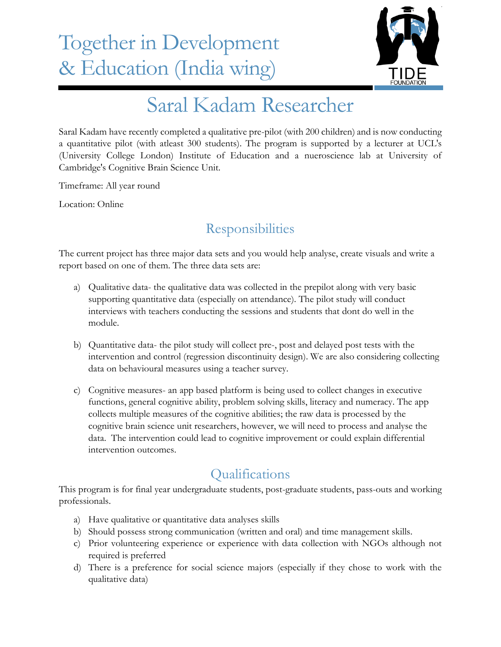## Together in Development & Education (India wing)



## Saral Kadam Researcher

Saral Kadam have recently completed a qualitative pre-pilot (with 200 children) and is now conducting a quantitative pilot (with atleast 300 students). The program is supported by a lecturer at UCL's (University College London) Institute of Education and a nueroscience lab at University of Cambridge's Cognitive Brain Science Unit.

Timeframe: All year round

Location: Online

## **Responsibilities**

The current project has three major data sets and you would help analyse, create visuals and write a report based on one of them. The three data sets are:

- a) Qualitative data- the qualitative data was collected in the prepilot along with very basic supporting quantitative data (especially on attendance). The pilot study will conduct interviews with teachers conducting the sessions and students that dont do well in the module.
- b) Quantitative data- the pilot study will collect pre-, post and delayed post tests with the intervention and control (regression discontinuity design). We are also considering collecting data on behavioural measures using a teacher survey.
- c) Cognitive measures- an app based platform is being used to collect changes in executive functions, general cognitive ability, problem solving skills, literacy and numeracy. The app collects multiple measures of the cognitive abilities; the raw data is processed by the cognitive brain science unit researchers, however, we will need to process and analyse the data. The intervention could lead to cognitive improvement or could explain differential intervention outcomes.

## **Oualifications**

This program is for final year undergraduate students, post-graduate students, pass-outs and working professionals.

- a) Have qualitative or quantitative data analyses skills
- b) Should possess strong communication (written and oral) and time management skills.
- c) Prior volunteering experience or experience with data collection with NGOs although not required is preferred
- d) There is a preference for social science majors (especially if they chose to work with the qualitative data)